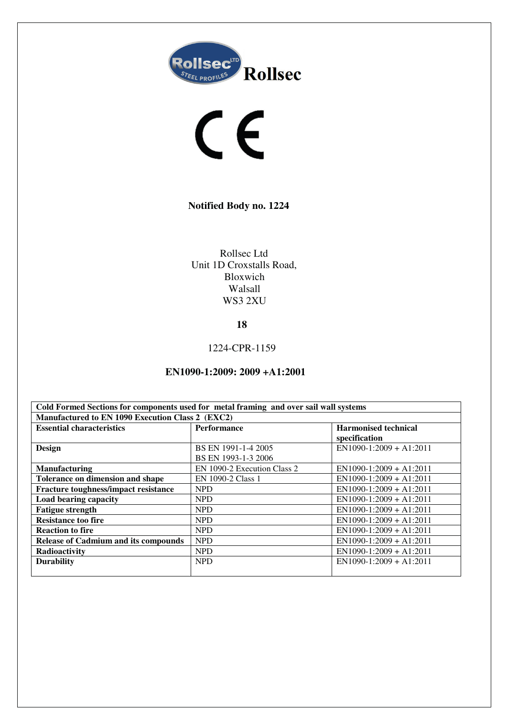



**Notified Body no. 1224** 

Rollsec Ltd Unit 1D Croxstalls Road, Bloxwich Walsall WS3 2XU

**18** 

1224-CPR-1159

**EN1090-1:2009: 2009 +A1:2001** 

| Cold Formed Sections for components used for metal framing and over sail wall systems |                             |                             |  |
|---------------------------------------------------------------------------------------|-----------------------------|-----------------------------|--|
| Manufactured to EN 1090 Execution Class 2 (EXC2)                                      |                             |                             |  |
| <b>Essential characteristics</b>                                                      | <b>Performance</b>          | <b>Harmonised technical</b> |  |
|                                                                                       |                             | specification               |  |
| <b>Design</b>                                                                         | BS EN 1991-1-4 2005         | $EN1090-1:2009 + A1:2011$   |  |
|                                                                                       | BS EN 1993-1-3 2006         |                             |  |
| <b>Manufacturing</b>                                                                  | EN 1090-2 Execution Class 2 | $EN1090-1:2009 + A1:2011$   |  |
| Tolerance on dimension and shape                                                      | EN 1090-2 Class 1           | $EN1090-1:2009 + A1:2011$   |  |
| Fracture toughness/impact resistance                                                  | <b>NPD</b>                  | $EN1090-1:2009 + A1:2011$   |  |
| Load bearing capacity                                                                 | <b>NPD</b>                  | $EN1090-1:2009 + A1:2011$   |  |
| <b>Fatigue strength</b>                                                               | <b>NPD</b>                  | $EN1090-1:2009 + A1:2011$   |  |
| <b>Resistance too fire</b>                                                            | <b>NPD</b>                  | $EN1090-1:2009 + A1:2011$   |  |
| <b>Reaction to fire</b>                                                               | <b>NPD</b>                  | $EN1090-1:2009 + A1:2011$   |  |
| <b>Release of Cadmium and its compounds</b>                                           | <b>NPD</b>                  | $EN1090-1:2009 + A1:2011$   |  |
| Radioactivity                                                                         | <b>NPD</b>                  | $EN1090-1:2009 + A1:2011$   |  |
| <b>Durability</b>                                                                     | <b>NPD</b>                  | $EN1090-1:2009 + A1:2011$   |  |
|                                                                                       |                             |                             |  |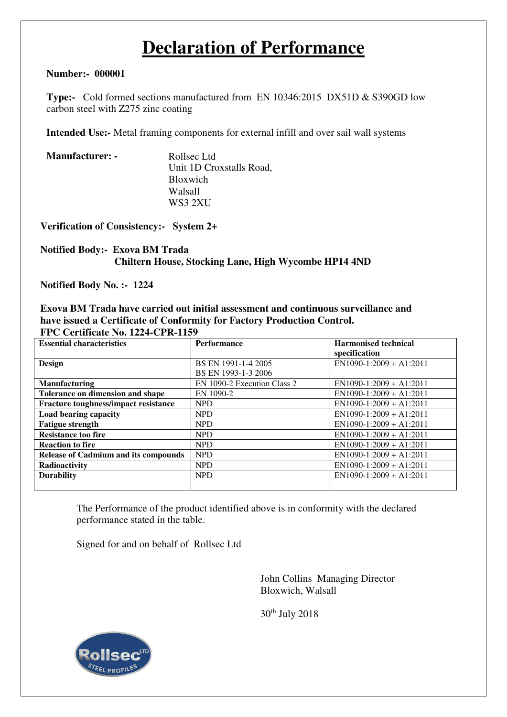# **Declaration of Performance**

## **Number:- 000001**

**Type:-** Cold formed sections manufactured from EN 10346:2015 DX51D & S390GD low carbon steel with Z275 zinc coating

**Intended Use:-** Metal framing components for external infill and over sail wall systems

| Rollsec Ltd              |
|--------------------------|
| Unit 1D Croxstalls Road, |
| <b>Bloxwich</b>          |
| Walsall                  |
| WS3 2XU                  |
|                          |

**Verification of Consistency:- System 2+** 

## **Notified Body:- Exova BM Trada Chiltern House, Stocking Lane, High Wycombe HP14 4ND**

**Notified Body No. :- 1224** 

### **Exova BM Trada have carried out initial assessment and continuous surveillance and have issued a Certificate of Conformity for Factory Production Control. FPC Certificate No. 1224-CPR-1159**

| <b>Essential characteristics</b>            | <b>Performance</b>          | <b>Harmonised technical</b><br>specification |
|---------------------------------------------|-----------------------------|----------------------------------------------|
| <b>Design</b>                               | BS EN 1991-1-4 2005         | $EN1090-1:2009 + A1:2011$                    |
|                                             | BS EN 1993-1-3 2006         |                                              |
| <b>Manufacturing</b>                        | EN 1090-2 Execution Class 2 | $EN1090-1:2009 + A1:2011$                    |
| Tolerance on dimension and shape            | EN 1090-2                   | $EN1090-1:2009 + A1:2011$                    |
| Fracture toughness/impact resistance        | <b>NPD</b>                  | $EN1090-1:2009 + A1:2011$                    |
| Load bearing capacity                       | <b>NPD</b>                  | $EN1090-1:2009 + A1:2011$                    |
| <b>Fatigue strength</b>                     | <b>NPD</b>                  | $EN1090-1:2009 + A1:2011$                    |
| <b>Resistance too fire</b>                  | <b>NPD</b>                  | $EN1090-1:2009 + A1:2011$                    |
| <b>Reaction to fire</b>                     | <b>NPD</b>                  | $EN1090-1:2009 + A1:2011$                    |
| <b>Release of Cadmium and its compounds</b> | <b>NPD</b>                  | $EN1090-1:2009 + A1:2011$                    |
| Radioactivity                               | <b>NPD</b>                  | $EN1090-1:2009 + A1:2011$                    |
| <b>Durability</b>                           | <b>NPD</b>                  | $EN1090-1:2009 + A1:2011$                    |
|                                             |                             |                                              |

The Performance of the product identified above is in conformity with the declared performance stated in the table.

Signed for and on behalf of Rollsec Ltd

John Collins Managing Director Bloxwich, Walsall

30th July 2018